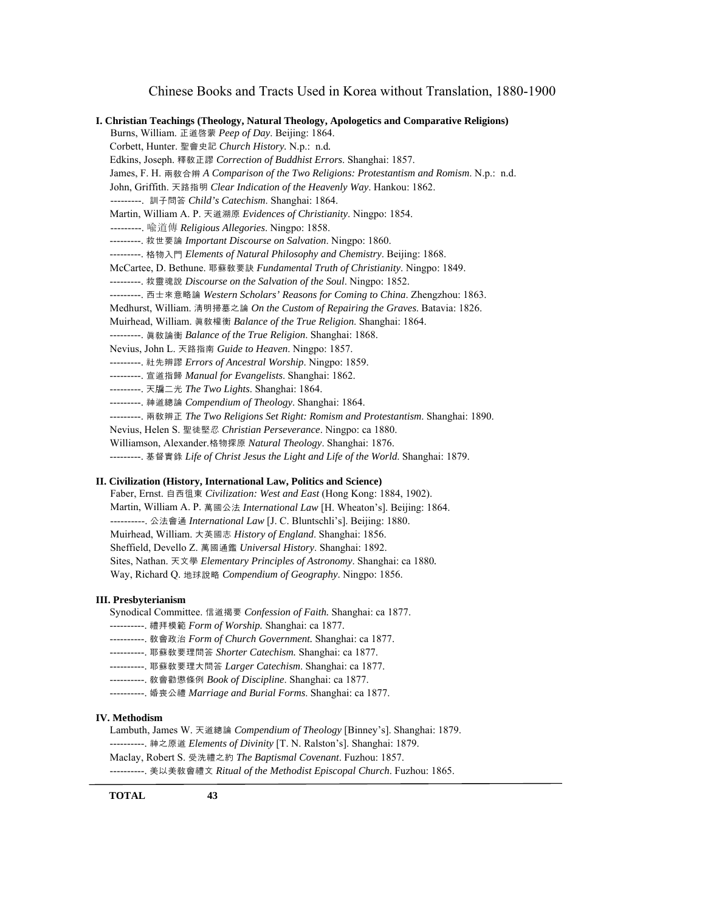## 0BChinese Books and Tracts Used in Korea without Translation, 1880-1900

| I. Christian Teachings (Theology, Natural Theology, Apologetics and Comparative Religions) |  |
|--------------------------------------------------------------------------------------------|--|
| Burns, William. 正道啓蒙 Peep of Day. Beijing: 1864.                                           |  |
| Corbett, Hunter. 聖會史記 Church History. N.p.: n.d.                                           |  |
| Edkins, Joseph. 釋敎正謬 Correction of Buddhist Errors. Shanghai: 1857.                        |  |
| James, F. H. 兩教合辨 A Comparison of the Two Religions: Protestantism and Romism. N.p.: n.d.  |  |
| John, Griffith. 天路指明 Clear Indication of the Heavenly Way. Hankou: 1862.                   |  |
| --------. 訓子問答 Child's Catechism. Shanghai: 1864.                                          |  |
| Martin, William A. P. 天道溯原 Evidences of Christianity. Ningpo: 1854.                        |  |
| ---------. 喩道傳 <i>Religious Allegories</i> . Ningpo: 1858.                                 |  |
| ---------. 救世要論 Important Discourse on Salvation. Ningpo: 1860.                            |  |
| --------- 格物入門 Elements of Natural Philosophy and Chemistry. Beijing: 1868.                |  |
| McCartee, D. Bethune. 耶蘇教要訣 Fundamental Truth of Christianity. Ningpo: 1849.               |  |
| ---------. 救靈魂說 Discourse on the Salvation of the Soul. Ningpo: 1852.                      |  |
| ---------. 西士來意略論 Western Scholars' Reasons for Coming to China. Zhengzhou: 1863.          |  |
| Medhurst, William. 清明掃墓之論 On the Custom of Repairing the Graves. Batavia: 1826.            |  |
| Muirhead, William. 真教權衡 Balance of the True Religion. Shanghai: 1864.                      |  |
| ---------. 真教論衡 Balance of the True Religion. Shanghai: 1868.                              |  |
| Nevius, John L. 天路指南 Guide to Heaven. Ningpo: 1857.                                        |  |
| ---------. 社先辨謬 <i>Errors of Ancestral Worship</i> . Ningpo: 1859.                         |  |
| ---------. 宣道指歸 Manual for Evangelists. Shanghai: 1862.                                    |  |
| ---------. 天牖二光 The Two Lights. Shanghai: 1864.                                            |  |
| ---------. 神道總論 Compendium of Theology. Shanghai: 1864.                                    |  |
| ---------. 兩教辨正 The Two Religions Set Right: Romism and Protestantism. Shanghai: 1890.     |  |
| Nevius, Helen S. 聖徒堅忍 Christian Perseverance. Ningpo: ca 1880.                             |  |
| Williamson, Alexander.格物探原 Natural Theology. Shanghai: 1876.                               |  |
| ---------. 基督實錄 Life of Christ Jesus the Light and Life of the World. Shanghai: 1879.      |  |
|                                                                                            |  |

#### **II. Civilization (History, International Law, Politics and Science)**

 Faber, Ernst. 自西徂東 *Civilization: West and East* (Hong Kong: 1884, 1902). Martin, William A. P. 萬國公法 *International Law* [H. Wheaton's]. Beijing: 1864. ----------. 公法會通 *International Law* [J. C. Bluntschli's]. Beijing: 1880. Muirhead, William. 大英國志 *History of England*. Shanghai: 1856. Sheffield, Devello Z. 萬國通鑑 *Universal History*. Shanghai: 1892. Sites, Nathan. 天文學 *Elementary Principles of Astronomy*. Shanghai: ca 1880*.* Way, Richard Q. 地球說略 *Compendium of Geography*. Ningpo: 1856.

### **III. Presbyterianism**

 Synodical Committee. 信道揭要 *Confession of Faith.* Shanghai: ca 1877. ----------. 禮拜模範 *Form of Worship.* Shanghai: ca 1877. ----------. 敎會政治 *Form of Church Government.* Shanghai: ca 1877. ----------. 耶蘇敎要理問答 *Shorter Catechism.* Shanghai: ca 1877. ----------. 耶蘇敎要理大問答 *Larger Catechism*. Shanghai: ca 1877. ----------. 敎會勸懲條例 *Book of Discipline*. Shanghai: ca 1877. ----------. 婚喪公禮 *Marriage and Burial Forms*. Shanghai: ca 1877.

### **IV. Methodism**

 Lambuth, James W. 天道總論 *Compendium of Theology* [Binney's]. Shanghai: 1879. ----------. 神之原道 *Elements of Divinity* [T. N. Ralston's]. Shanghai: 1879. Maclay, Robert S. 受洗禮之約 *The Baptismal Covenant*. Fuzhou: 1857. ----------. 美以美敎會禮文 *Ritual of the Methodist Episcopal Church*. Fuzhou: 1865.

 **TOTAL 43**